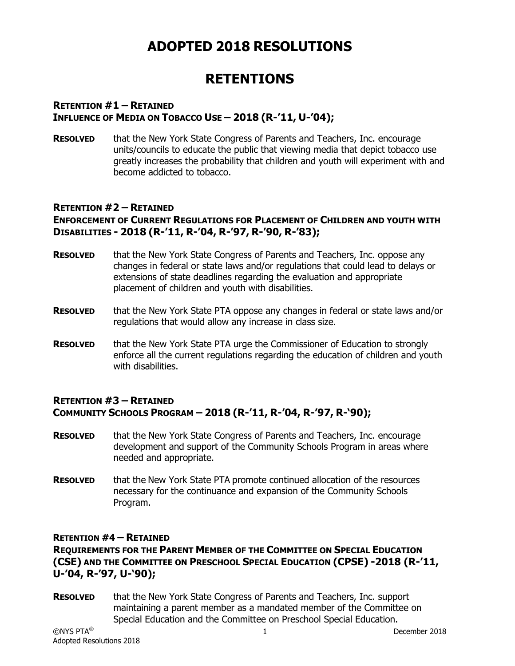# **ADOPTED 2018 RESOLUTIONS**

# **RETENTIONS**

#### **RETENTION #1 – RETAINED INFLUENCE OF MEDIA ON TOBACCO USE – 2018 (R-'11, U-'04);**

**RESOLVED** that the New York State Congress of Parents and Teachers, Inc. encourage units/councils to educate the public that viewing media that depict tobacco use greatly increases the probability that children and youth will experiment with and become addicted to tobacco.

#### **RETENTION #2 – RETAINED ENFORCEMENT OF CURRENT REGULATIONS FOR PLACEMENT OF CHILDREN AND YOUTH WITH DISABILITIES - 2018 (R-'11, R-'04, R-'97, R-'90, R-'83);**

- **RESOLVED** that the New York State Congress of Parents and Teachers, Inc. oppose any changes in federal or state laws and/or regulations that could lead to delays or extensions of state deadlines regarding the evaluation and appropriate placement of children and youth with disabilities.
- **RESOLVED** that the New York State PTA oppose any changes in federal or state laws and/or regulations that would allow any increase in class size.
- **RESOLVED** that the New York State PTA urge the Commissioner of Education to strongly enforce all the current regulations regarding the education of children and youth with disabilities.

#### **RETENTION #3 – RETAINED COMMUNITY SCHOOLS PROGRAM – 2018 (R-'11, R-'04, R-'97, R-'90);**

- **RESOLVED** that the New York State Congress of Parents and Teachers, Inc. encourage development and support of the Community Schools Program in areas where needed and appropriate.
- **RESOLVED** that the New York State PTA promote continued allocation of the resources necessary for the continuance and expansion of the Community Schools Program.

#### **RETENTION #4 – RETAINED**

**REQUIREMENTS FOR THE PARENT MEMBER OF THE COMMITTEE ON SPECIAL EDUCATION (CSE) AND THE COMMITTEE ON PRESCHOOL SPECIAL EDUCATION (CPSE) -2018 (R-'11, U-'04, R-'97, U-'90);** 

**RESOLVED** that the New York State Congress of Parents and Teachers, Inc. support maintaining a parent member as a mandated member of the Committee on Special Education and the Committee on Preschool Special Education.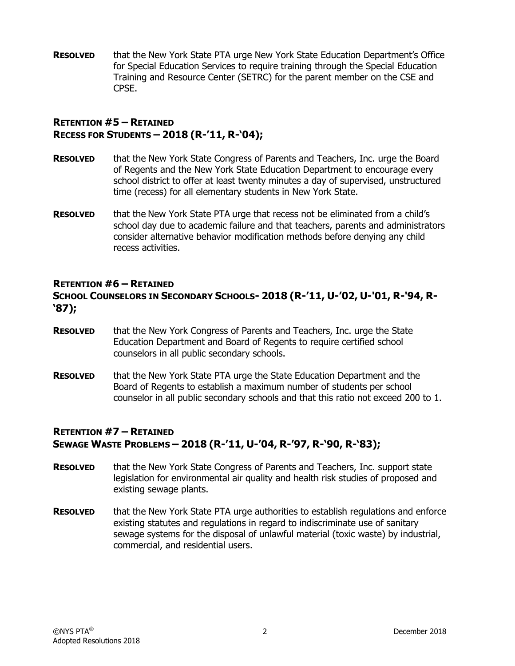**RESOLVED** that the New York State PTA urge New York State Education Department's Office for Special Education Services to require training through the Special Education Training and Resource Center (SETRC) for the parent member on the CSE and CPSE.

#### **RETENTION #5 – RETAINED RECESS FOR STUDENTS – 2018 (R-'11, R-'04);**

- **RESOLVED** that the New York State Congress of Parents and Teachers, Inc. urge the Board of Regents and the New York State Education Department to encourage every school district to offer at least twenty minutes a day of supervised, unstructured time (recess) for all elementary students in New York State.
- **RESOLVED** that the New York State PTA urge that recess not be eliminated from a child's school day due to academic failure and that teachers, parents and administrators consider alternative behavior modification methods before denying any child recess activities.

#### **RETENTION #6 – RETAINED**

#### **SCHOOL COUNSELORS IN SECONDARY SCHOOLS- 2018 (R-'11, U-'02, U-'01, R-'94, R- '87);**

- **RESOLVED** that the New York Congress of Parents and Teachers, Inc. urge the State Education Department and Board of Regents to require certified school counselors in all public secondary schools.
- **RESOLVED** that the New York State PTA urge the State Education Department and the Board of Regents to establish a maximum number of students per school counselor in all public secondary schools and that this ratio not exceed 200 to 1.

#### **RETENTION #7 – RETAINED SEWAGE WASTE PROBLEMS – 2018 (R-'11, U-'04, R-'97, R-'90, R-'83);**

- **RESOLVED** that the New York State Congress of Parents and Teachers, Inc. support state legislation for environmental air quality and health risk studies of proposed and existing sewage plants.
- **RESOLVED** that the New York State PTA urge authorities to establish regulations and enforce existing statutes and regulations in regard to indiscriminate use of sanitary sewage systems for the disposal of unlawful material (toxic waste) by industrial, commercial, and residential users.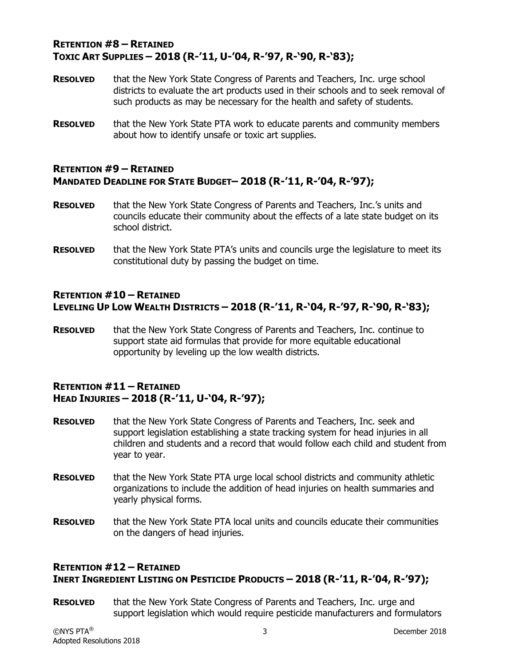#### **RETENTION #8 – RETAINED TOXIC ART SUPPLIES – 2018 (R-'11, U-'04, R-'97, R-'90, R-'83);**

- **RESOLVED** that the New York State Congress of Parents and Teachers, Inc. urge school districts to evaluate the art products used in their schools and to seek removal of such products as may be necessary for the health and safety of students.
- **RESOLVED** that the New York State PTA work to educate parents and community members about how to identify unsafe or toxic art supplies.

#### **RETENTION #9 – RETAINED MANDATED DEADLINE FOR STATE BUDGET– 2018 (R-'11, R-'04, R-'97);**

- **RESOLVED** that the New York State Congress of Parents and Teachers, Inc.'s units and councils educate their community about the effects of a late state budget on its school district.
- **RESOLVED** that the New York State PTA's units and councils urge the legislature to meet its constitutional duty by passing the budget on time.

#### **RETENTION #10 – RETAINED LEVELING UP LOW WEALTH DISTRICTS – 2018 (R-'11, R-'04, R-'97, R-'90, R-'83);**

**RESOLVED** that the New York State Congress of Parents and Teachers, Inc. continue to support state aid formulas that provide for more equitable educational opportunity by leveling up the low wealth districts.

#### **RETENTION #11 – RETAINED HEAD INJURIES – 2018 (R-'11, U-'04, R-'97);**

- **RESOLVED** that the New York State Congress of Parents and Teachers, Inc. seek and support legislation establishing a state tracking system for head injuries in all children and students and a record that would follow each child and student from year to year.
- **RESOLVED** that the New York State PTA urge local school districts and community athletic organizations to include the addition of head injuries on health summaries and yearly physical forms.
- **RESOLVED** that the New York State PTA local units and councils educate their communities on the dangers of head injuries.

### **RETENTION #12 – RETAINED INERT INGREDIENT LISTING ON PESTICIDE PRODUCTS – 2018 (R-'11, R-'04, R-'97);**

**RESOLVED** that the New York State Congress of Parents and Teachers, Inc. urge and support legislation which would require pesticide manufacturers and formulators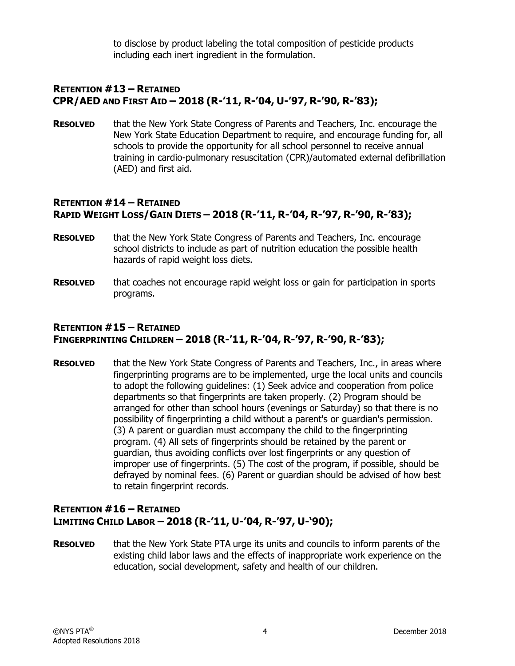to disclose by product labeling the total composition of pesticide products including each inert ingredient in the formulation.

#### **RETENTION #13 – RETAINED CPR/AED AND FIRST AID – 2018 (R-'11, R-'04, U-'97, R-'90, R-'83);**

**RESOLVED** that the New York State Congress of Parents and Teachers, Inc. encourage the New York State Education Department to require, and encourage funding for, all schools to provide the opportunity for all school personnel to receive annual training in cardio-pulmonary resuscitation (CPR)/automated external defibrillation (AED) and first aid.

#### **RETENTION #14 – RETAINED RAPID WEIGHT LOSS/GAIN DIETS – 2018 (R-'11, R-'04, R-'97, R-'90, R-'83);**

- **RESOLVED** that the New York State Congress of Parents and Teachers, Inc. encourage school districts to include as part of nutrition education the possible health hazards of rapid weight loss diets.
- **RESOLVED** that coaches not encourage rapid weight loss or gain for participation in sports programs.

### **RETENTION #15 – RETAINED FINGERPRINTING CHILDREN – 2018 (R-'11, R-'04, R-'97, R-'90, R-'83);**

**RESOLVED** that the New York State Congress of Parents and Teachers, Inc., in areas where fingerprinting programs are to be implemented, urge the local units and councils to adopt the following guidelines: (1) Seek advice and cooperation from police departments so that fingerprints are taken properly. (2) Program should be arranged for other than school hours (evenings or Saturday) so that there is no possibility of fingerprinting a child without a parent's or guardian's permission. (3) A parent or guardian must accompany the child to the fingerprinting program. (4) All sets of fingerprints should be retained by the parent or guardian, thus avoiding conflicts over lost fingerprints or any question of improper use of fingerprints. (5) The cost of the program, if possible, should be defrayed by nominal fees. (6) Parent or guardian should be advised of how best to retain fingerprint records.

#### **RETENTION #16 – RETAINED LIMITING CHILD LABOR – 2018 (R-'11, U-'04, R-'97, U-'90);**

**RESOLVED** that the New York State PTA urge its units and councils to inform parents of the existing child labor laws and the effects of inappropriate work experience on the education, social development, safety and health of our children.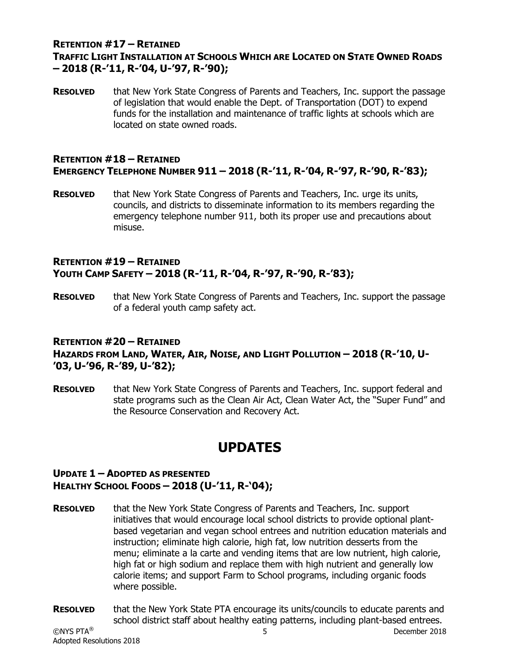#### **RETENTION #17 – RETAINED TRAFFIC LIGHT INSTALLATION AT SCHOOLS WHICH ARE LOCATED ON STATE OWNED ROADS – 2018 (R-'11, R-'04, U-'97, R-'90);**

**RESOLVED** that New York State Congress of Parents and Teachers, Inc. support the passage of legislation that would enable the Dept. of Transportation (DOT) to expend funds for the installation and maintenance of traffic lights at schools which are located on state owned roads.

#### **RETENTION #18 – RETAINED EMERGENCY TELEPHONE NUMBER 911 – 2018 (R-'11, R-'04, R-'97, R-'90, R-'83);**

**RESOLVED** that New York State Congress of Parents and Teachers, Inc. urge its units, councils, and districts to disseminate information to its members regarding the emergency telephone number 911, both its proper use and precautions about misuse.

#### **RETENTION #19 – RETAINED YOUTH CAMP SAFETY – 2018 (R-'11, R-'04, R-'97, R-'90, R-'83);**

**RESOLVED** that New York State Congress of Parents and Teachers, Inc. support the passage of a federal youth camp safety act.

### **RETENTION #20 – RETAINED HAZARDS FROM LAND, WATER, AIR, NOISE, AND LIGHT POLLUTION – 2018 (R-'10, U- '03, U-'96, R-'89, U-'82);**

**RESOLVED** that New York State Congress of Parents and Teachers, Inc. support federal and state programs such as the Clean Air Act, Clean Water Act, the "Super Fund" and the Resource Conservation and Recovery Act.

# **UPDATES**

#### **UPDATE 1 – ADOPTED AS PRESENTED HEALTHY SCHOOL FOODS – 2018 (U-'11, R-'04);**

- **RESOLVED** that the New York State Congress of Parents and Teachers, Inc. support initiatives that would encourage local school districts to provide optional plantbased vegetarian and vegan school entrees and nutrition education materials and instruction; eliminate high calorie, high fat, low nutrition desserts from the menu; eliminate a la carte and vending items that are low nutrient, high calorie, high fat or high sodium and replace them with high nutrient and generally low calorie items; and support Farm to School programs, including organic foods where possible.
- **RESOLVED** that the New York State PTA encourage its units/councils to educate parents and school district staff about healthy eating patterns, including plant-based entrees.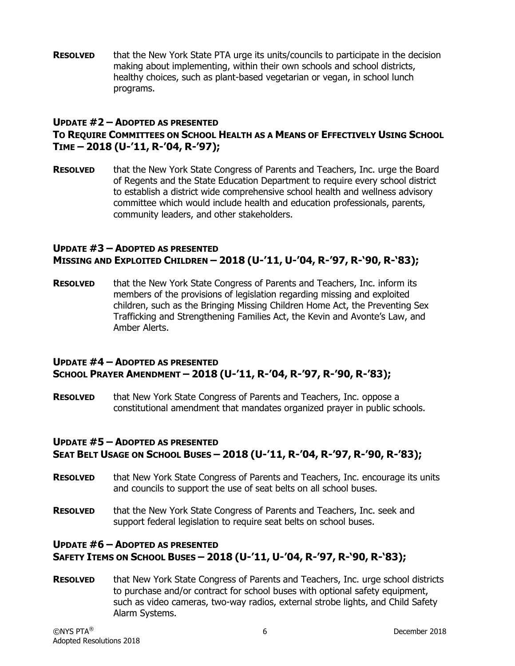**RESOLVED** that the New York State PTA urge its units/councils to participate in the decision making about implementing, within their own schools and school districts, healthy choices, such as plant-based vegetarian or vegan, in school lunch programs.

#### **UPDATE #2 – ADOPTED AS PRESENTED TO REQUIRE COMMITTEES ON SCHOOL HEALTH AS A MEANS OF EFFECTIVELY USING SCHOOL TIME – 2018 (U-'11, R-'04, R-'97);**

**RESOLVED** that the New York State Congress of Parents and Teachers, Inc. urge the Board of Regents and the State Education Department to require every school district to establish a district wide comprehensive school health and wellness advisory committee which would include health and education professionals, parents, community leaders, and other stakeholders.

#### **UPDATE #3 – ADOPTED AS PRESENTED MISSING AND EXPLOITED CHILDREN – 2018 (U-'11, U-'04, R-'97, R-'90, R-'83);**

**RESOLVED** that the New York State Congress of Parents and Teachers, Inc. inform its members of the provisions of legislation regarding missing and exploited children, such as the Bringing Missing Children Home Act, the Preventing Sex Trafficking and Strengthening Families Act, the Kevin and Avonte's Law, and Amber Alerts.

#### **UPDATE #4 – ADOPTED AS PRESENTED SCHOOL PRAYER AMENDMENT – 2018 (U-'11, R-'04, R-'97, R-'90, R-'83);**

**RESOLVED** that New York State Congress of Parents and Teachers, Inc. oppose a constitutional amendment that mandates organized prayer in public schools.

#### **UPDATE #5 – ADOPTED AS PRESENTED SEAT BELT USAGE ON SCHOOL BUSES – 2018 (U-'11, R-'04, R-'97, R-'90, R-'83);**

- **RESOLVED** that New York State Congress of Parents and Teachers, Inc. encourage its units and councils to support the use of seat belts on all school buses.
- **RESOLVED** that the New York State Congress of Parents and Teachers, Inc. seek and support federal legislation to require seat belts on school buses.

### **UPDATE #6 – ADOPTED AS PRESENTED SAFETY ITEMS ON SCHOOL BUSES – 2018 (U-'11, U-'04, R-'97, R-'90, R-'83);**

**RESOLVED** that New York State Congress of Parents and Teachers, Inc. urge school districts to purchase and/or contract for school buses with optional safety equipment, such as video cameras, two-way radios, external strobe lights, and Child Safety Alarm Systems.